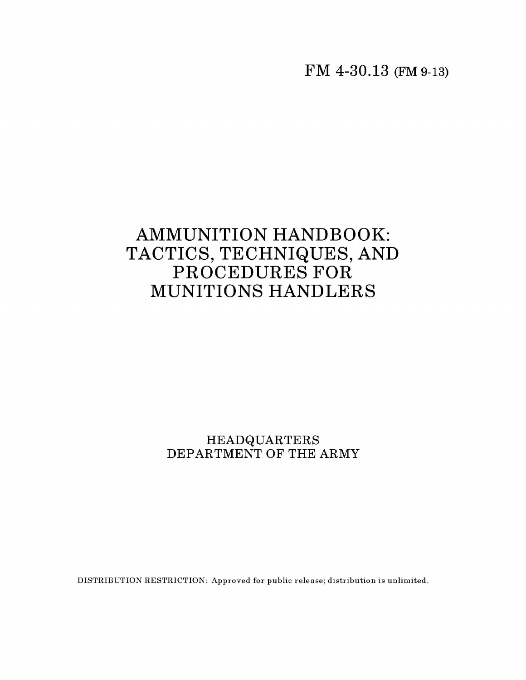**FM 4-30.13 (FM 9-13)**

## **AMMUNITION HANDBOOK: TACTICS, TECHNIQUES, AND** PROCEDURES FOR **MUNITIONS HANDLERS**

## $\tt HEADQUARTER$ DEPARTMENT OF THE ARMY

DISTRIBUTION RESTRICTION: Approved for public release; distribution is unlimited.